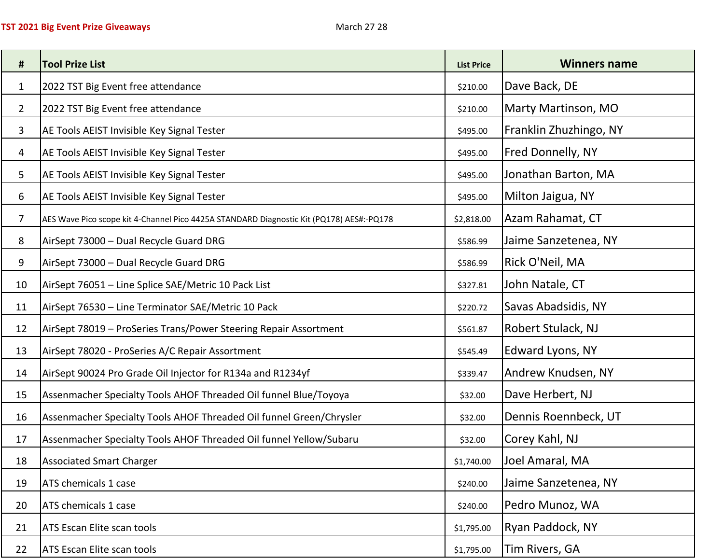| #              | <b>Tool Prize List</b>                                                                   | <b>List Price</b> | <b>Winners name</b>    |
|----------------|------------------------------------------------------------------------------------------|-------------------|------------------------|
| $\mathbf{1}$   | 2022 TST Big Event free attendance                                                       | \$210.00          | Dave Back, DE          |
| $\overline{2}$ | 2022 TST Big Event free attendance                                                       | \$210.00          | Marty Martinson, MO    |
| 3              | AE Tools AEIST Invisible Key Signal Tester                                               | \$495.00          | Franklin Zhuzhingo, NY |
| 4              | AE Tools AEIST Invisible Key Signal Tester                                               | \$495.00          | Fred Donnelly, NY      |
| 5              | AE Tools AEIST Invisible Key Signal Tester                                               | \$495.00          | Jonathan Barton, MA    |
| 6              | AE Tools AEIST Invisible Key Signal Tester                                               | \$495.00          | Milton Jaigua, NY      |
| 7              | AES Wave Pico scope kit 4-Channel Pico 4425A STANDARD Diagnostic Kit (PQ178) AES#:-PQ178 | \$2,818.00        | Azam Rahamat, CT       |
| 8              | AirSept 73000 - Dual Recycle Guard DRG                                                   | \$586.99          | Jaime Sanzetenea, NY   |
| 9              | AirSept 73000 - Dual Recycle Guard DRG                                                   | \$586.99          | Rick O'Neil, MA        |
| 10             | AirSept 76051 - Line Splice SAE/Metric 10 Pack List                                      | \$327.81          | John Natale, CT        |
| 11             | AirSept 76530 - Line Terminator SAE/Metric 10 Pack                                       | \$220.72          | Savas Abadsidis, NY    |
| 12             | AirSept 78019 - ProSeries Trans/Power Steering Repair Assortment                         | \$561.87          | Robert Stulack, NJ     |
| 13             | AirSept 78020 - ProSeries A/C Repair Assortment                                          | \$545.49          | Edward Lyons, NY       |
| 14             | AirSept 90024 Pro Grade Oil Injector for R134a and R1234yf                               | \$339.47          | Andrew Knudsen, NY     |
| 15             | Assenmacher Specialty Tools AHOF Threaded Oil funnel Blue/Toyoya                         | \$32.00           | Dave Herbert, NJ       |
| 16             | Assenmacher Specialty Tools AHOF Threaded Oil funnel Green/Chrysler                      | \$32.00           | Dennis Roennbeck, UT   |
| 17             | Assenmacher Specialty Tools AHOF Threaded Oil funnel Yellow/Subaru                       | \$32.00           | Corey Kahl, NJ         |
| 18             | <b>Associated Smart Charger</b>                                                          | \$1,740.00        | Joel Amaral, MA        |
| 19             | ATS chemicals 1 case                                                                     | \$240.00          | Jaime Sanzetenea, NY   |
| 20             | ATS chemicals 1 case                                                                     | \$240.00          | Pedro Munoz, WA        |
| 21             | <b>ATS Escan Elite scan tools</b>                                                        | \$1,795.00        | Ryan Paddock, NY       |
| 22             | <b>ATS Escan Elite scan tools</b>                                                        | \$1,795.00        | Tim Rivers, GA         |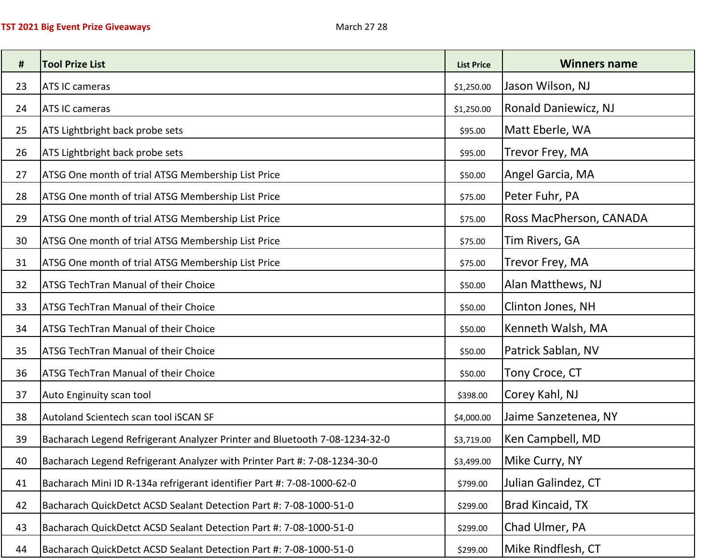| #  | <b>Tool Prize List</b>                                                     | <b>List Price</b> | <b>Winners name</b>     |
|----|----------------------------------------------------------------------------|-------------------|-------------------------|
| 23 | <b>ATS IC cameras</b>                                                      | \$1,250.00        | Jason Wilson, NJ        |
| 24 | <b>ATS IC cameras</b>                                                      | \$1,250.00        | Ronald Daniewicz, NJ    |
| 25 | ATS Lightbright back probe sets                                            | \$95.00           | Matt Eberle, WA         |
| 26 | ATS Lightbright back probe sets                                            | \$95.00           | Trevor Frey, MA         |
| 27 | ATSG One month of trial ATSG Membership List Price                         | \$50.00           | Angel Garcia, MA        |
| 28 | ATSG One month of trial ATSG Membership List Price                         | \$75.00           | Peter Fuhr, PA          |
| 29 | ATSG One month of trial ATSG Membership List Price                         | \$75.00           | Ross MacPherson, CANADA |
| 30 | ATSG One month of trial ATSG Membership List Price                         | \$75.00           | Tim Rivers, GA          |
| 31 | ATSG One month of trial ATSG Membership List Price                         | \$75.00           | Trevor Frey, MA         |
| 32 | <b>ATSG TechTran Manual of their Choice</b>                                | \$50.00           | Alan Matthews, NJ       |
| 33 | <b>ATSG TechTran Manual of their Choice</b>                                | \$50.00           | Clinton Jones, NH       |
| 34 | <b>ATSG TechTran Manual of their Choice</b>                                | \$50.00           | Kenneth Walsh, MA       |
| 35 | <b>ATSG TechTran Manual of their Choice</b>                                | \$50.00           | Patrick Sablan, NV      |
| 36 | <b>ATSG TechTran Manual of their Choice</b>                                | \$50.00           | Tony Croce, CT          |
| 37 | Auto Enginuity scan tool                                                   | \$398.00          | Corey Kahl, NJ          |
| 38 | Autoland Scientech scan tool iSCAN SF                                      | \$4,000.00        | Jaime Sanzetenea, NY    |
| 39 | Bacharach Legend Refrigerant Analyzer Printer and Bluetooth 7-08-1234-32-0 | \$3,719.00        | Ken Campbell, MD        |
| 40 | Bacharach Legend Refrigerant Analyzer with Printer Part #: 7-08-1234-30-0  | \$3,499.00        | Mike Curry, NY          |
| 41 | Bacharach Mini ID R-134a refrigerant identifier Part #: 7-08-1000-62-0     | \$799.00          | Julian Galindez, CT     |
| 42 | Bacharach QuickDetct ACSD Sealant Detection Part #: 7-08-1000-51-0         | \$299.00          | Brad Kincaid, TX        |
| 43 | Bacharach QuickDetct ACSD Sealant Detection Part #: 7-08-1000-51-0         | \$299.00          | Chad Ulmer, PA          |
| 44 | Bacharach QuickDetct ACSD Sealant Detection Part #: 7-08-1000-51-0         | \$299.00          | Mike Rindflesh, CT      |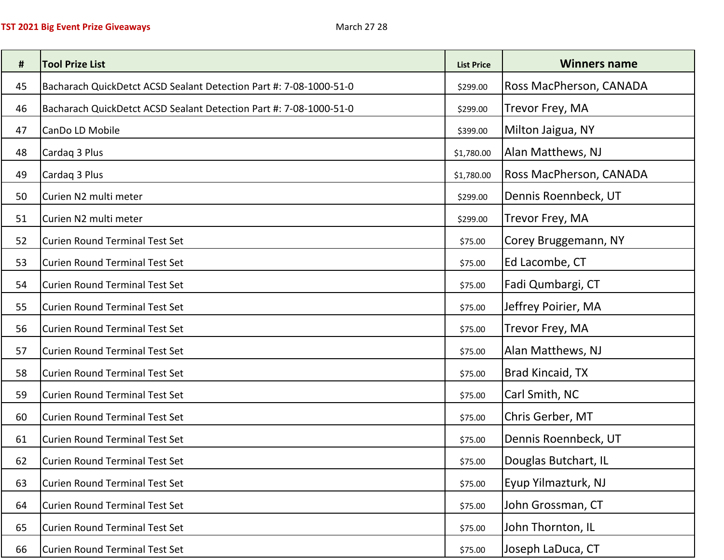| #  | <b>Tool Prize List</b>                                             | <b>List Price</b> | <b>Winners name</b>     |
|----|--------------------------------------------------------------------|-------------------|-------------------------|
| 45 | Bacharach QuickDetct ACSD Sealant Detection Part #: 7-08-1000-51-0 | \$299.00          | Ross MacPherson, CANADA |
| 46 | Bacharach QuickDetct ACSD Sealant Detection Part #: 7-08-1000-51-0 | \$299.00          | Trevor Frey, MA         |
| 47 | CanDo LD Mobile                                                    | \$399.00          | Milton Jaigua, NY       |
| 48 | Cardag 3 Plus                                                      | \$1,780.00        | Alan Matthews, NJ       |
| 49 | Cardaq 3 Plus                                                      | \$1,780.00        | Ross MacPherson, CANADA |
| 50 | Curien N2 multi meter                                              | \$299.00          | Dennis Roennbeck, UT    |
| 51 | Curien N2 multi meter                                              | \$299.00          | Trevor Frey, MA         |
| 52 | Curien Round Terminal Test Set                                     | \$75.00           | Corey Bruggemann, NY    |
| 53 | Curien Round Terminal Test Set                                     | \$75.00           | Ed Lacombe, CT          |
| 54 | Curien Round Terminal Test Set                                     | \$75.00           | Fadi Qumbargi, CT       |
| 55 | Curien Round Terminal Test Set                                     | \$75.00           | Jeffrey Poirier, MA     |
| 56 | Curien Round Terminal Test Set                                     | \$75.00           | Trevor Frey, MA         |
| 57 | Curien Round Terminal Test Set                                     | \$75.00           | Alan Matthews, NJ       |
| 58 | Curien Round Terminal Test Set                                     | \$75.00           | Brad Kincaid, TX        |
| 59 | Curien Round Terminal Test Set                                     | \$75.00           | Carl Smith, NC          |
| 60 | Curien Round Terminal Test Set                                     | \$75.00           | Chris Gerber, MT        |
| 61 | Curien Round Terminal Test Set                                     | \$75.00           | Dennis Roennbeck, UT    |
| 62 | Curien Round Terminal Test Set                                     | \$75.00           | Douglas Butchart, IL    |
| 63 | Curien Round Terminal Test Set                                     | \$75.00           | Eyup Yilmazturk, NJ     |
| 64 | Curien Round Terminal Test Set                                     | \$75.00           | John Grossman, CT       |
| 65 | Curien Round Terminal Test Set                                     | \$75.00           | John Thornton, IL       |
| 66 | Curien Round Terminal Test Set                                     | \$75.00           | Joseph LaDuca, CT       |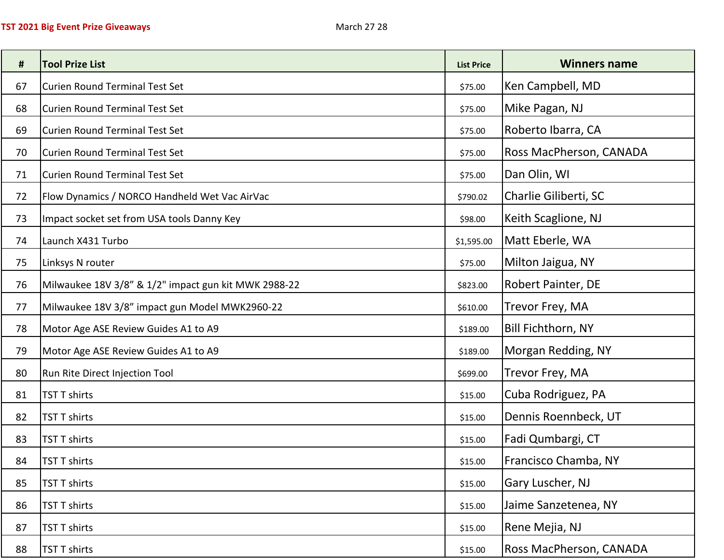| #  | <b>Tool Prize List</b>                               | <b>List Price</b> | <b>Winners name</b>         |
|----|------------------------------------------------------|-------------------|-----------------------------|
| 67 | Curien Round Terminal Test Set                       | \$75.00           | Ken Campbell, MD            |
| 68 | Curien Round Terminal Test Set                       | \$75.00           | Mike Pagan, NJ              |
| 69 | Curien Round Terminal Test Set                       | \$75.00           | Roberto Ibarra, CA          |
| 70 | Curien Round Terminal Test Set                       | \$75.00           | Ross MacPherson, CANADA     |
| 71 | Curien Round Terminal Test Set                       | \$75.00           | Dan Olin, WI                |
| 72 | Flow Dynamics / NORCO Handheld Wet Vac AirVac        | \$790.02          | Charlie Giliberti, SC       |
| 73 | Impact socket set from USA tools Danny Key           | \$98.00           | Keith Scaglione, NJ         |
| 74 | Launch X431 Turbo                                    | \$1,595.00        | Matt Eberle, WA             |
| 75 | Linksys N router                                     | \$75.00           | Milton Jaigua, NY           |
| 76 | Milwaukee 18V 3/8" & 1/2" impact gun kit MWK 2988-22 | \$823.00          | Robert Painter, DE          |
| 77 | Milwaukee 18V 3/8" impact gun Model MWK2960-22       | \$610.00          | Trevor Frey, MA             |
| 78 | Motor Age ASE Review Guides A1 to A9                 | \$189.00          | Bill Fichthorn, NY          |
| 79 | Motor Age ASE Review Guides A1 to A9                 | \$189.00          | Morgan Redding, NY          |
| 80 | Run Rite Direct Injection Tool                       | \$699.00          | Trevor Frey, MA             |
| 81 | TST T shirts                                         | \$15.00           | Cuba Rodriguez, PA          |
| 82 | TST T shirts                                         | \$15.00           | Dennis Roennbeck, UT        |
| 83 | TST T shirts                                         | \$15.00           | Fadi Qumbargi, CT           |
| 84 | <b>TST T shirts</b>                                  | \$15.00           | <b>Francisco Chamba, NY</b> |
| 85 | TST T shirts                                         | \$15.00           | Gary Luscher, NJ            |
| 86 | TST T shirts                                         | \$15.00           | Jaime Sanzetenea, NY        |
| 87 | TST T shirts                                         | \$15.00           | Rene Mejia, NJ              |
| 88 | <b>TST T shirts</b>                                  | \$15.00           | Ross MacPherson, CANADA     |